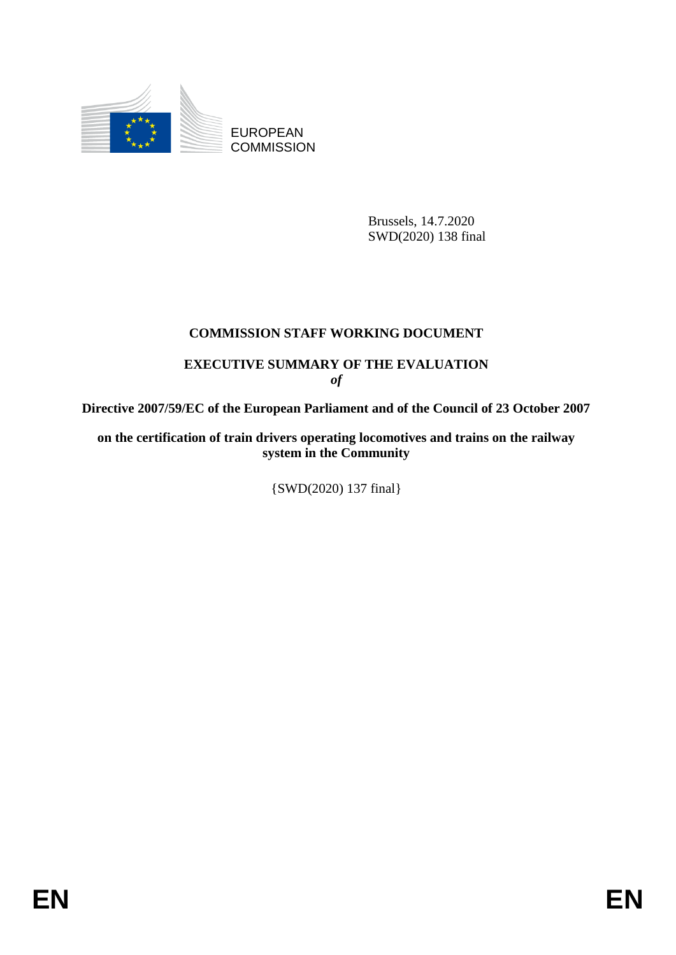

EUROPEAN **COMMISSION** 

> Brussels, 14.7.2020 SWD(2020) 138 final

## **COMMISSION STAFF WORKING DOCUMENT**

## **EXECUTIVE SUMMARY OF THE EVALUATION** *of*

**Directive 2007/59/EC of the European Parliament and of the Council of 23 October 2007**

**on the certification of train drivers operating locomotives and trains on the railway system in the Community**

{SWD(2020) 137 final}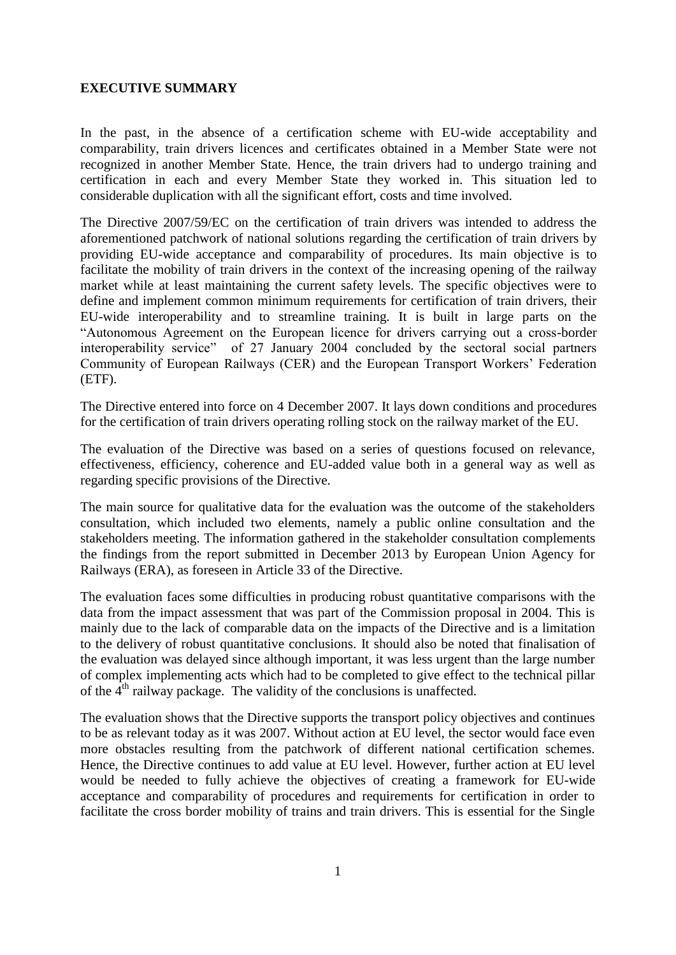## **EXECUTIVE SUMMARY**

In the past, in the absence of a certification scheme with EU-wide acceptability and comparability, train drivers licences and certificates obtained in a Member State were not recognized in another Member State. Hence, the train drivers had to undergo training and certification in each and every Member State they worked in. This situation led to considerable duplication with all the significant effort, costs and time involved.

The Directive 2007/59/EC on the certification of train drivers was intended to address the aforementioned patchwork of national solutions regarding the certification of train drivers by providing EU-wide acceptance and comparability of procedures. Its main objective is to facilitate the mobility of train drivers in the context of the increasing opening of the railway market while at least maintaining the current safety levels. The specific objectives were to define and implement common minimum requirements for certification of train drivers, their EU-wide interoperability and to streamline training. It is built in large parts on the "Autonomous Agreement on the European licence for drivers carrying out a cross-border interoperability service" of 27 January 2004 concluded by the sectoral social partners Community of European Railways (CER) and the European Transport Workers' Federation (ETF).

The Directive entered into force on 4 December 2007. It lays down conditions and procedures for the certification of train drivers operating rolling stock on the railway market of the EU.

The evaluation of the Directive was based on a series of questions focused on relevance, effectiveness, efficiency, coherence and EU-added value both in a general way as well as regarding specific provisions of the Directive.

The main source for qualitative data for the evaluation was the outcome of the stakeholders consultation, which included two elements, namely a public online consultation and the stakeholders meeting. The information gathered in the stakeholder consultation complements the findings from the report submitted in December 2013 by European Union Agency for Railways (ERA), as foreseen in Article 33 of the Directive.

The evaluation faces some difficulties in producing robust quantitative comparisons with the data from the impact assessment that was part of the Commission proposal in 2004. This is mainly due to the lack of comparable data on the impacts of the Directive and is a limitation to the delivery of robust quantitative conclusions. It should also be noted that finalisation of the evaluation was delayed since although important, it was less urgent than the large number of complex implementing acts which had to be completed to give effect to the technical pillar of the  $4<sup>th</sup>$  railway package. The validity of the conclusions is unaffected.

The evaluation shows that the Directive supports the transport policy objectives and continues to be as relevant today as it was 2007. Without action at EU level, the sector would face even more obstacles resulting from the patchwork of different national certification schemes. Hence, the Directive continues to add value at EU level. However, further action at EU level would be needed to fully achieve the objectives of creating a framework for EU-wide acceptance and comparability of procedures and requirements for certification in order to facilitate the cross border mobility of trains and train drivers. This is essential for the Single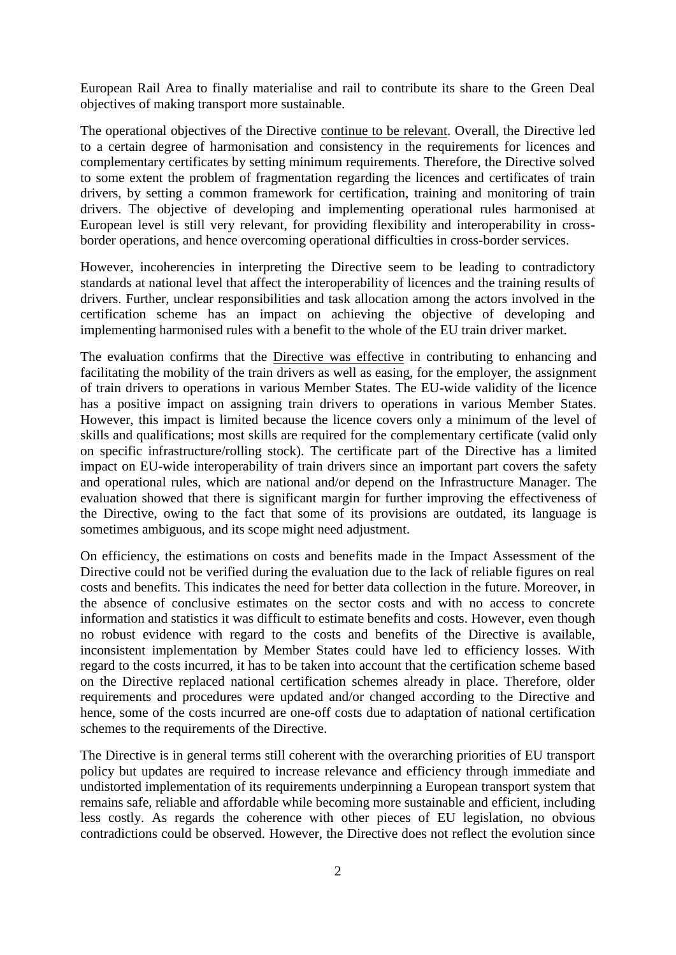European Rail Area to finally materialise and rail to contribute its share to the Green Deal objectives of making transport more sustainable.

The operational objectives of the Directive continue to be relevant. Overall, the Directive led to a certain degree of harmonisation and consistency in the requirements for licences and complementary certificates by setting minimum requirements. Therefore, the Directive solved to some extent the problem of fragmentation regarding the licences and certificates of train drivers, by setting a common framework for certification, training and monitoring of train drivers. The objective of developing and implementing operational rules harmonised at European level is still very relevant, for providing flexibility and interoperability in crossborder operations, and hence overcoming operational difficulties in cross-border services.

However, incoherencies in interpreting the Directive seem to be leading to contradictory standards at national level that affect the interoperability of licences and the training results of drivers. Further, unclear responsibilities and task allocation among the actors involved in the certification scheme has an impact on achieving the objective of developing and implementing harmonised rules with a benefit to the whole of the EU train driver market.

The evaluation confirms that the Directive was effective in contributing to enhancing and facilitating the mobility of the train drivers as well as easing, for the employer, the assignment of train drivers to operations in various Member States. The EU-wide validity of the licence has a positive impact on assigning train drivers to operations in various Member States. However, this impact is limited because the licence covers only a minimum of the level of skills and qualifications; most skills are required for the complementary certificate (valid only on specific infrastructure/rolling stock). The certificate part of the Directive has a limited impact on EU-wide interoperability of train drivers since an important part covers the safety and operational rules, which are national and/or depend on the Infrastructure Manager. The evaluation showed that there is significant margin for further improving the effectiveness of the Directive, owing to the fact that some of its provisions are outdated, its language is sometimes ambiguous, and its scope might need adjustment.

On efficiency, the estimations on costs and benefits made in the Impact Assessment of the Directive could not be verified during the evaluation due to the lack of reliable figures on real costs and benefits. This indicates the need for better data collection in the future. Moreover, in the absence of conclusive estimates on the sector costs and with no access to concrete information and statistics it was difficult to estimate benefits and costs. However, even though no robust evidence with regard to the costs and benefits of the Directive is available, inconsistent implementation by Member States could have led to efficiency losses. With regard to the costs incurred, it has to be taken into account that the certification scheme based on the Directive replaced national certification schemes already in place. Therefore, older requirements and procedures were updated and/or changed according to the Directive and hence, some of the costs incurred are one-off costs due to adaptation of national certification schemes to the requirements of the Directive.

The Directive is in general terms still coherent with the overarching priorities of EU transport policy but updates are required to increase relevance and efficiency through immediate and undistorted implementation of its requirements underpinning a European transport system that remains safe, reliable and affordable while becoming more sustainable and efficient, including less costly. As regards the coherence with other pieces of EU legislation, no obvious contradictions could be observed. However, the Directive does not reflect the evolution since